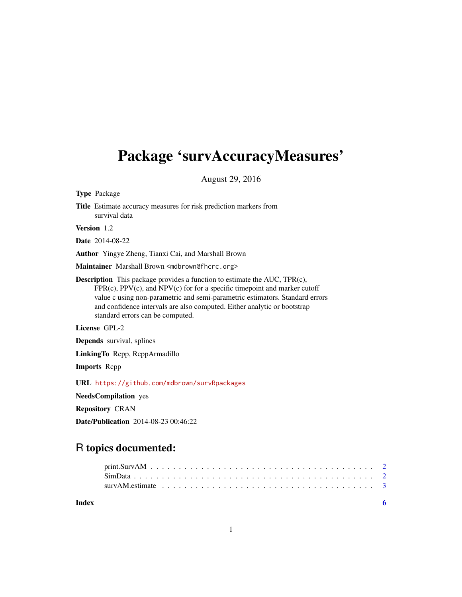## Package 'survAccuracyMeasures'

August 29, 2016

Type Package Title Estimate accuracy measures for risk prediction markers from survival data Version 1.2 Date 2014-08-22 Author Yingye Zheng, Tianxi Cai, and Marshall Brown Maintainer Marshall Brown <mdbrown@fhcrc.org> Description This package provides a function to estimate the AUC, TPR(c),  $FPR(c)$ ,  $PPV(c)$ , and  $NPV(c)$  for for a specific timepoint and marker cutoff value c using non-parametric and semi-parametric estimators. Standard errors and confidence intervals are also computed. Either analytic or bootstrap standard errors can be computed. License GPL-2 Depends survival, splines LinkingTo Rcpp, RcppArmadillo Imports Rcpp URL <https://github.com/mdbrown/survRpackages> NeedsCompilation yes Repository CRAN

Date/Publication 2014-08-23 00:46:22

### R topics documented:

**Index** [6](#page-5-0) **6**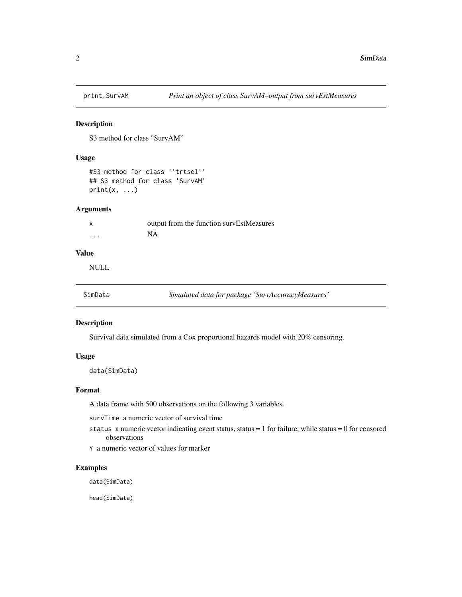<span id="page-1-0"></span>

#### Description

S3 method for class "SurvAM"

#### Usage

```
#S3 method for class ''trtsel''
## S3 method for class 'SurvAM'
print(x, \ldots)
```
#### Arguments

|         | output from the function survEstMeasures |
|---------|------------------------------------------|
| $\cdot$ | <b>NA</b>                                |

#### Value

NULL

| SimData<br>Simulated data for package 'SurvAccuracyMeasures' |  |
|--------------------------------------------------------------|--|
|--------------------------------------------------------------|--|

#### Description

Survival data simulated from a Cox proportional hazards model with 20% censoring.

#### Usage

data(SimData)

#### Format

A data frame with 500 observations on the following 3 variables.

survTime a numeric vector of survival time

status a numeric vector indicating event status, status =  $1$  for failure, while status =  $0$  for censored observations

Y a numeric vector of values for marker

#### Examples

data(SimData)

head(SimData)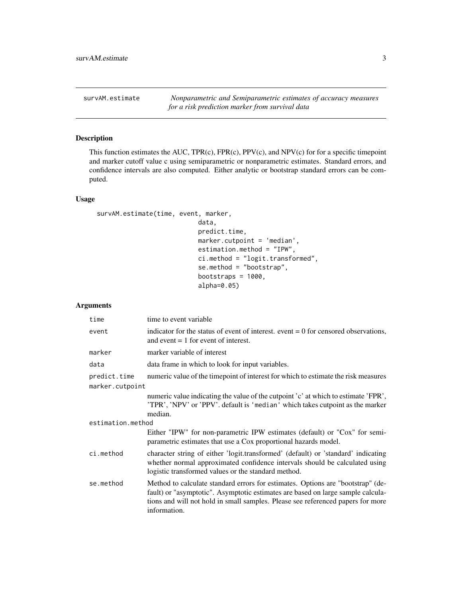<span id="page-2-0"></span>survAM.estimate *Nonparametric and Semiparametric estimates of accuracy measures for a risk prediction marker from survival data*

#### Description

This function estimates the AUC, TPR(c), FPR(c), PPV(c), and NPV(c) for for a specific timepoint and marker cutoff value c using semiparametric or nonparametric estimates. Standard errors, and confidence intervals are also computed. Either analytic or bootstrap standard errors can be computed.

#### Usage

```
survAM.estimate(time, event, marker,
```

```
data,
predict.time,
marker.cutpoint = 'median',
estimation.method = "IPW",
ci.method = "logit.transformed",
se.method = "bootstrap",
bootstraps = 1000,
alpha=0.05)
```
#### Arguments

| time              | time to event variable                                                                                                                                                                                                                                                |
|-------------------|-----------------------------------------------------------------------------------------------------------------------------------------------------------------------------------------------------------------------------------------------------------------------|
| event             | indicator for the status of event of interest, event $= 0$ for censored observations,<br>and event $= 1$ for event of interest.                                                                                                                                       |
| marker            | marker variable of interest                                                                                                                                                                                                                                           |
| data              | data frame in which to look for input variables.                                                                                                                                                                                                                      |
| predict.time      | numeric value of the timepoint of interest for which to estimate the risk measures                                                                                                                                                                                    |
| marker.cutpoint   |                                                                                                                                                                                                                                                                       |
|                   | numeric value indicating the value of the cutpoint 'c' at which to estimate 'FPR',<br>'TPR', 'NPV' or 'PPV'. default is 'median' which takes cutpoint as the marker<br>median.                                                                                        |
| estimation.method |                                                                                                                                                                                                                                                                       |
|                   | Either "IPW" for non-parametric IPW estimates (default) or "Cox" for semi-<br>parametric estimates that use a Cox proportional hazards model.                                                                                                                         |
| ci.method         | character string of either 'logit.transformed' (default) or 'standard' indicating<br>whether normal approximated confidence intervals should be calculated using<br>logistic transformed values or the standard method.                                               |
| se.method         | Method to calculate standard errors for estimates. Options are "bootstrap" (de-<br>fault) or "asymptotic". Asymptotic estimates are based on large sample calcula-<br>tions and will not hold in small samples. Please see referenced papers for more<br>information. |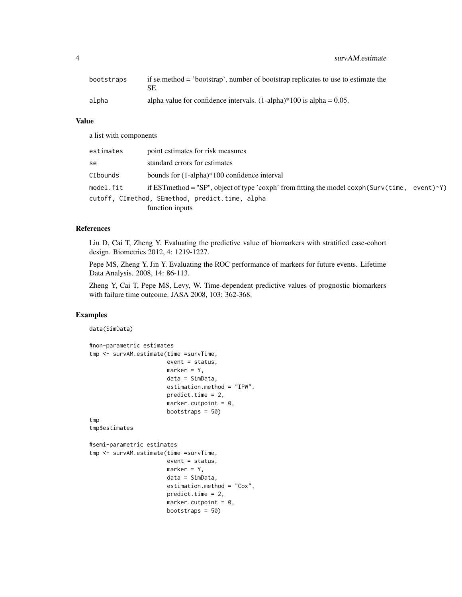4 survAM.estimate

#### Value

a list with components

| estimates | point estimates for risk measures                                                              |
|-----------|------------------------------------------------------------------------------------------------|
| se        | standard errors for estimates                                                                  |
| CIbounds  | bounds for $(1$ -alpha $)$ *100 confidence interval                                            |
| model.fit | if EST method = "SP", object of type 'coxph' from fitting the model coxph(Surv(time, event)~Y) |
|           | cutoff, CImethod, SEmethod, predict.time, alpha                                                |
|           | function inputs                                                                                |

#### References

Liu D, Cai T, Zheng Y. Evaluating the predictive value of biomarkers with stratified case-cohort design. Biometrics 2012, 4: 1219-1227.

Pepe MS, Zheng Y, Jin Y. Evaluating the ROC performance of markers for future events. Lifetime Data Analysis. 2008, 14: 86-113.

Zheng Y, Cai T, Pepe MS, Levy, W. Time-dependent predictive values of prognostic biomarkers with failure time outcome. JASA 2008, 103: 362-368.

#### Examples

```
data(SimData)
```

```
#non-parametric estimates
tmp <- survAM.estimate(time =survTime,
                       event = status,
                       marker = Y,
                       data = SimData,
                       estimation.method = "IPW",
                       predict.time = 2,
                       marker.cutpoint = 0,
                       bootstraps = 50)
tmp
tmp$estimates
#semi-parametric estimates
tmp <- survAM.estimate(time =survTime,
                       event = status,
                       marker = Y,data = SimData,
                       estimation.method = "Cox",
                       predict.time = 2,
                       marker.cutpoint = 0,
                       bootstraps = 50)
```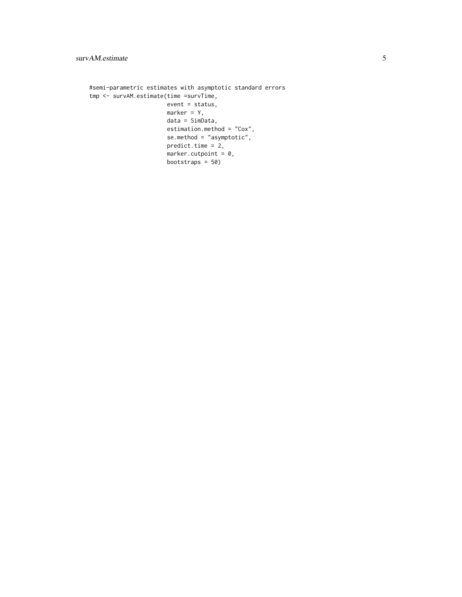```
#semi-parametric estimates with asymptotic standard errors
tmp <- survAM.estimate(time =survTime,
                      event = status,
                      marker = Y,
                      data = SimData,
                      estimation.method = "Cox",
                      se.method = "asymptotic",
                      predict.time = 2,marker.cutpoint = 0,bootstraps = 50)
```